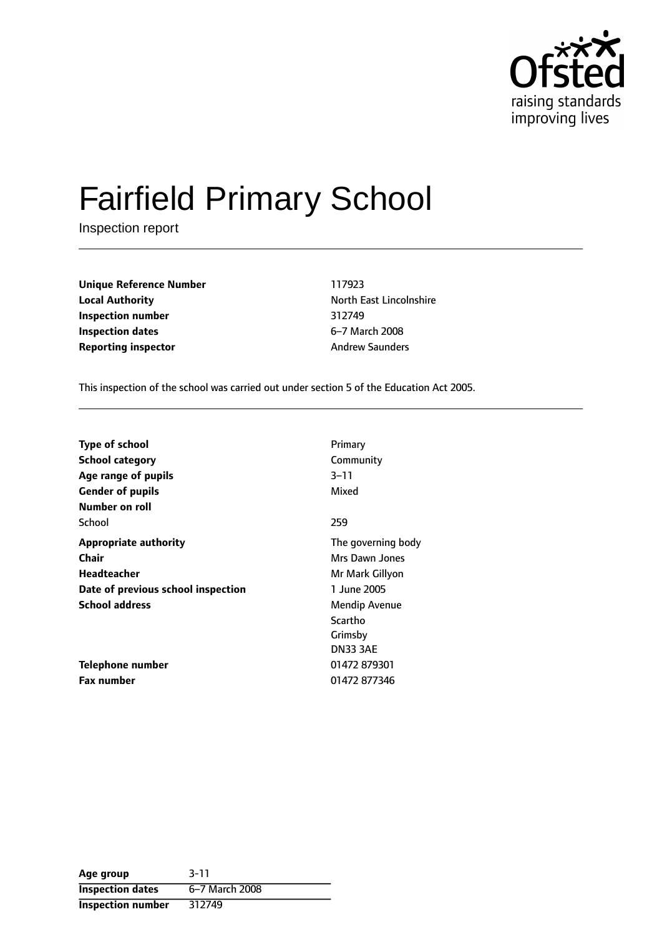

# Fairfield Primary School

Inspection report

**Unique Reference Number** 117923 **Local Authority Constanting Constanting Material Properties Authority North East Lincolnshire Inspection number** 312749 **Inspection dates** 6-7 March 2008 **Reporting inspector** Andrew Saunders

This inspection of the school was carried out under section 5 of the Education Act 2005.

| <b>Type of school</b>              | Primary            |
|------------------------------------|--------------------|
| <b>School category</b>             | Community          |
| Age range of pupils                | $3 - 11$           |
| <b>Gender of pupils</b>            | Mixed              |
| Number on roll                     |                    |
| School                             | 259                |
| <b>Appropriate authority</b>       | The governing body |
| <b>Chair</b>                       | Mrs Dawn Jones     |
| Headteacher                        | Mr Mark Gillyon    |
| Date of previous school inspection | 1 June 2005        |
| <b>School address</b>              | Mendip Avenue      |
|                                    | Scartho            |
|                                    | Grimsby            |
|                                    | <b>DN33 3AE</b>    |
| Telephone number                   | 01472 879301       |
| <b>Fax number</b>                  | 01472 877346       |

| Age group                | $3 - 11$       |
|--------------------------|----------------|
| <b>Inspection dates</b>  | 6-7 March 2008 |
| <b>Inspection number</b> | 312749         |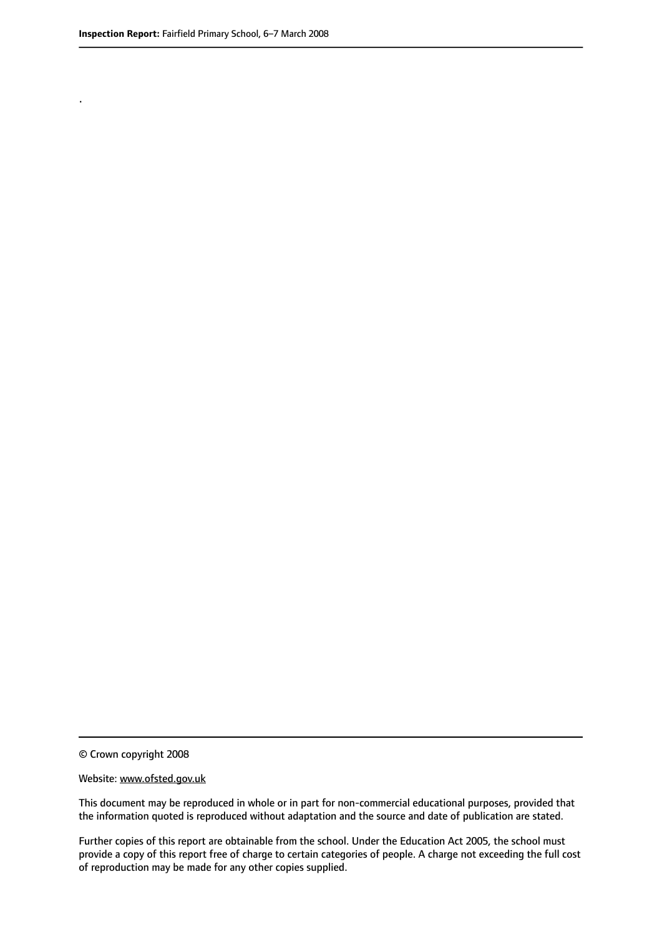.

© Crown copyright 2008

#### Website: www.ofsted.gov.uk

This document may be reproduced in whole or in part for non-commercial educational purposes, provided that the information quoted is reproduced without adaptation and the source and date of publication are stated.

Further copies of this report are obtainable from the school. Under the Education Act 2005, the school must provide a copy of this report free of charge to certain categories of people. A charge not exceeding the full cost of reproduction may be made for any other copies supplied.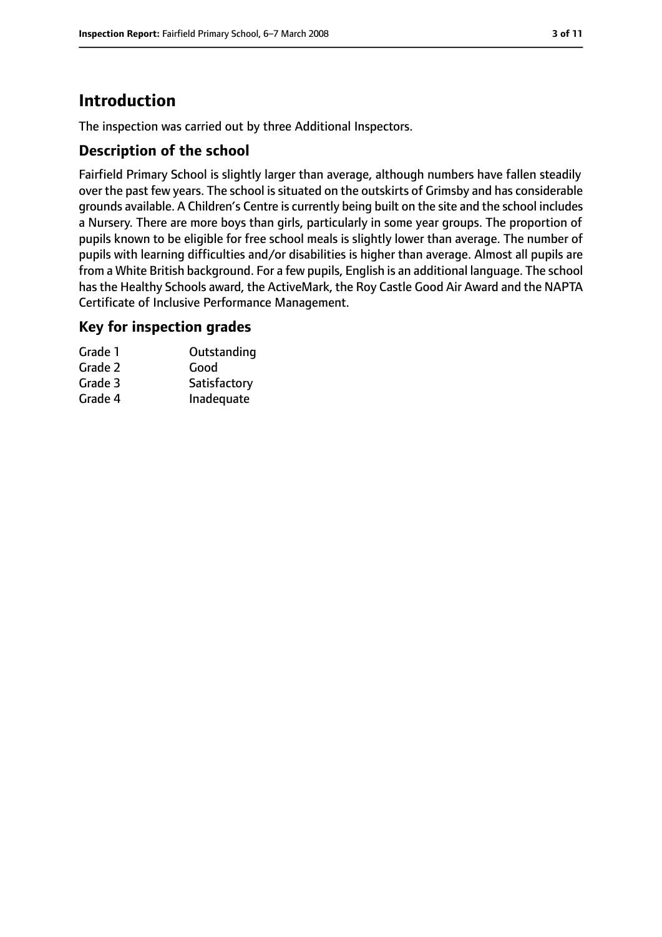# **Introduction**

The inspection was carried out by three Additional Inspectors.

## **Description of the school**

Fairfield Primary School is slightly larger than average, although numbers have fallen steadily over the past few years. The school is situated on the outskirts of Grimsby and has considerable grounds available. A Children's Centre is currently being built on the site and the school includes a Nursery. There are more boys than girls, particularly in some year groups. The proportion of pupils known to be eligible for free school meals is slightly lower than average. The number of pupils with learning difficulties and/or disabilities is higher than average. Almost all pupils are from a White British background. For a few pupils, English is an additional language. The school has the Healthy Schools award, the ActiveMark, the Roy Castle Good Air Award and the NAPTA Certificate of Inclusive Performance Management.

#### **Key for inspection grades**

| Grade 1 | Outstanding  |
|---------|--------------|
| Grade 2 | Good         |
| Grade 3 | Satisfactory |
| Grade 4 | Inadequate   |
|         |              |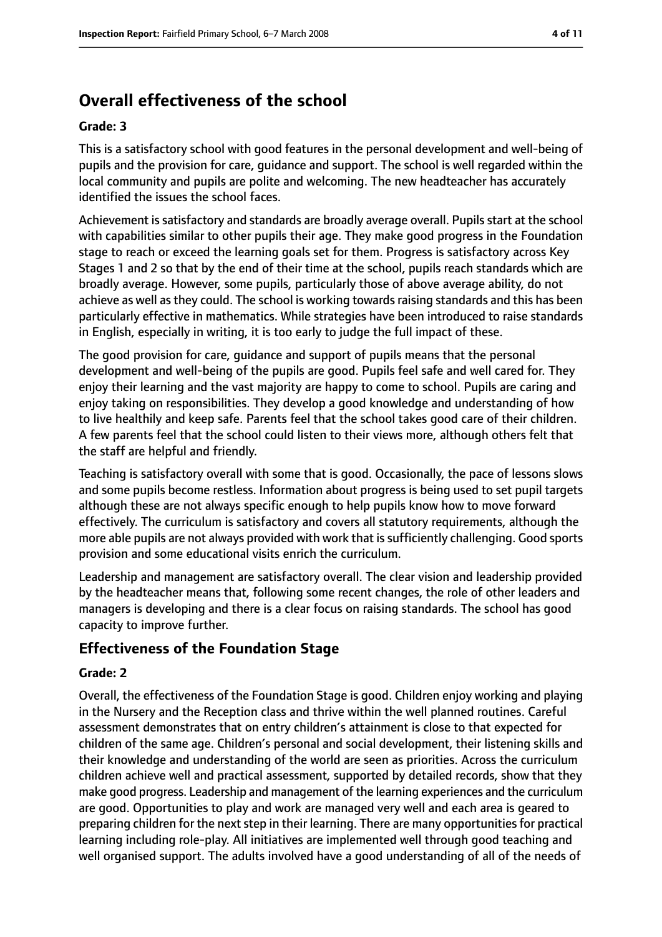# **Overall effectiveness of the school**

#### **Grade: 3**

This is a satisfactory school with good features in the personal development and well-being of pupils and the provision for care, guidance and support. The school is well regarded within the local community and pupils are polite and welcoming. The new headteacher has accurately identified the issues the school faces.

Achievement is satisfactory and standards are broadly average overall. Pupils start at the school with capabilities similar to other pupils their age. They make good progress in the Foundation stage to reach or exceed the learning goals set for them. Progress is satisfactory across Key Stages 1 and 2 so that by the end of their time at the school, pupils reach standards which are broadly average. However, some pupils, particularly those of above average ability, do not achieve as well as they could. The school is working towards raising standards and this has been particularly effective in mathematics. While strategies have been introduced to raise standards in English, especially in writing, it is too early to judge the full impact of these.

The good provision for care, guidance and support of pupils means that the personal development and well-being of the pupils are good. Pupils feel safe and well cared for. They enjoy their learning and the vast majority are happy to come to school. Pupils are caring and enjoy taking on responsibilities. They develop a good knowledge and understanding of how to live healthily and keep safe. Parents feel that the school takes good care of their children. A few parents feel that the school could listen to their views more, although others felt that the staff are helpful and friendly.

Teaching is satisfactory overall with some that is good. Occasionally, the pace of lessons slows and some pupils become restless. Information about progress is being used to set pupil targets although these are not always specific enough to help pupils know how to move forward effectively. The curriculum is satisfactory and covers all statutory requirements, although the more able pupils are not always provided with work that is sufficiently challenging. Good sports provision and some educational visits enrich the curriculum.

Leadership and management are satisfactory overall. The clear vision and leadership provided by the headteacher means that, following some recent changes, the role of other leaders and managers is developing and there is a clear focus on raising standards. The school has good capacity to improve further.

#### **Effectiveness of the Foundation Stage**

#### **Grade: 2**

Overall, the effectiveness of the Foundation Stage is good. Children enjoy working and playing in the Nursery and the Reception class and thrive within the well planned routines. Careful assessment demonstrates that on entry children's attainment is close to that expected for children of the same age. Children's personal and social development, their listening skills and their knowledge and understanding of the world are seen as priorities. Across the curriculum children achieve well and practical assessment, supported by detailed records, show that they make good progress. Leadership and management of the learning experiences and the curriculum are good. Opportunities to play and work are managed very well and each area is geared to preparing children for the next step in their learning. There are many opportunities for practical learning including role-play. All initiatives are implemented well through good teaching and well organised support. The adults involved have a good understanding of all of the needs of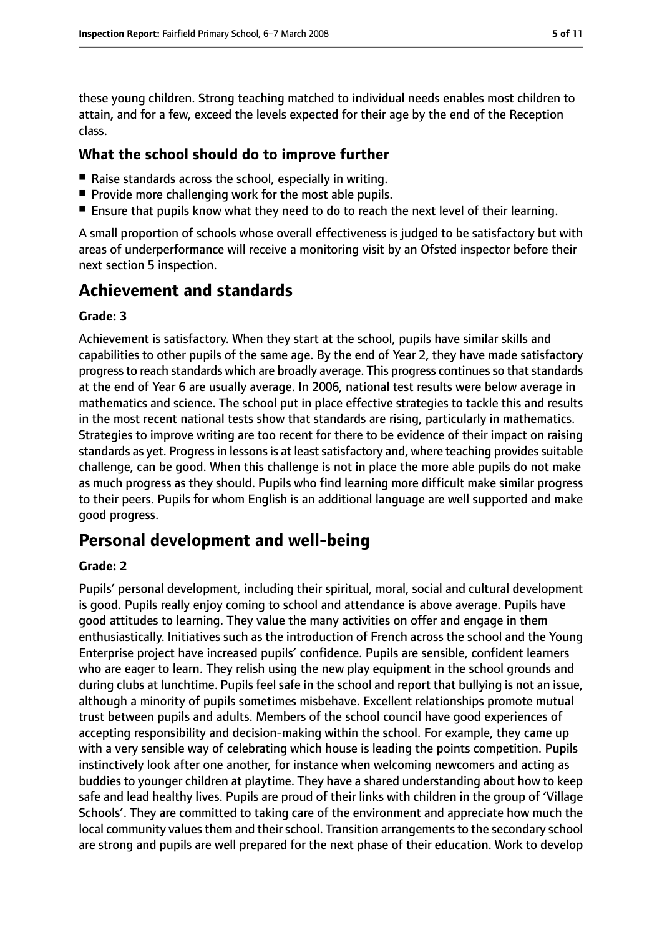these young children. Strong teaching matched to individual needs enables most children to attain, and for a few, exceed the levels expected for their age by the end of the Reception class.

### **What the school should do to improve further**

- Raise standards across the school, especially in writing.
- Provide more challenging work for the most able pupils.
- Ensure that pupils know what they need to do to reach the next level of their learning.

A small proportion of schools whose overall effectiveness is judged to be satisfactory but with areas of underperformance will receive a monitoring visit by an Ofsted inspector before their next section 5 inspection.

# **Achievement and standards**

#### **Grade: 3**

Achievement is satisfactory. When they start at the school, pupils have similar skills and capabilities to other pupils of the same age. By the end of Year 2, they have made satisfactory progress to reach standards which are broadly average. This progress continues so that standards at the end of Year 6 are usually average. In 2006, national test results were below average in mathematics and science. The school put in place effective strategies to tackle this and results in the most recent national tests show that standards are rising, particularly in mathematics. Strategies to improve writing are too recent for there to be evidence of their impact on raising standards as yet. Progress in lessons is at least satisfactory and, where teaching provides suitable challenge, can be good. When this challenge is not in place the more able pupils do not make as much progress as they should. Pupils who find learning more difficult make similar progress to their peers. Pupils for whom English is an additional language are well supported and make good progress.

# **Personal development and well-being**

#### **Grade: 2**

Pupils' personal development, including their spiritual, moral, social and cultural development is good. Pupils really enjoy coming to school and attendance is above average. Pupils have good attitudes to learning. They value the many activities on offer and engage in them enthusiastically. Initiatives such as the introduction of French across the school and the Young Enterprise project have increased pupils' confidence. Pupils are sensible, confident learners who are eager to learn. They relish using the new play equipment in the school grounds and during clubs at lunchtime. Pupils feel safe in the school and report that bullying is not an issue, although a minority of pupils sometimes misbehave. Excellent relationships promote mutual trust between pupils and adults. Members of the school council have good experiences of accepting responsibility and decision-making within the school. For example, they came up with a very sensible way of celebrating which house is leading the points competition. Pupils instinctively look after one another, for instance when welcoming newcomers and acting as buddies to younger children at playtime. They have a shared understanding about how to keep safe and lead healthy lives. Pupils are proud of their links with children in the group of 'Village Schools'. They are committed to taking care of the environment and appreciate how much the local community values them and their school. Transition arrangements to the secondary school are strong and pupils are well prepared for the next phase of their education. Work to develop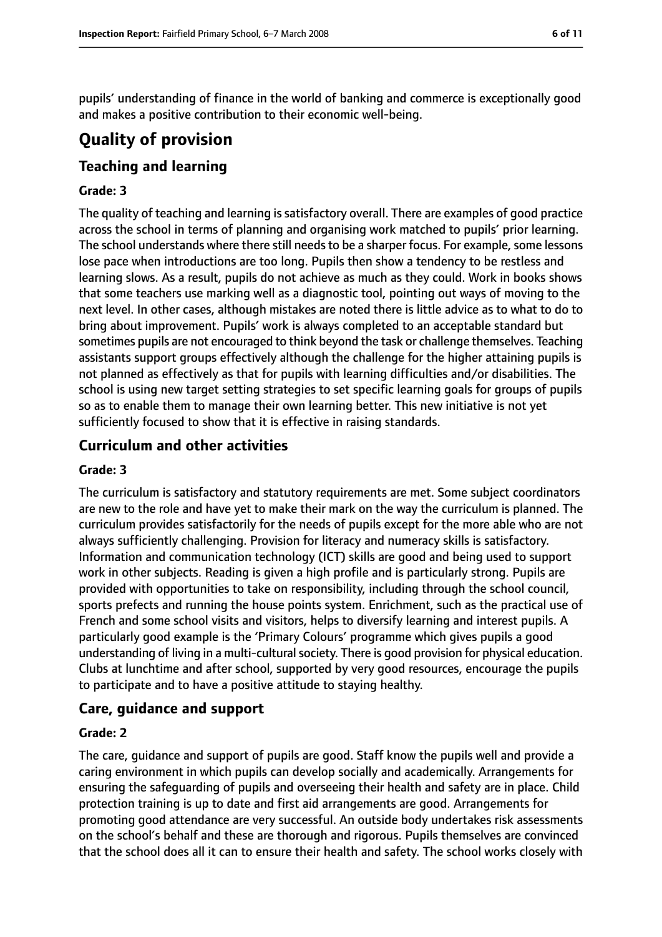pupils' understanding of finance in the world of banking and commerce is exceptionally good and makes a positive contribution to their economic well-being.

# **Quality of provision**

## **Teaching and learning**

#### **Grade: 3**

The quality of teaching and learning is satisfactory overall. There are examples of good practice across the school in terms of planning and organising work matched to pupils' prior learning. The school understands where there still needs to be a sharper focus. For example, some lessons lose pace when introductions are too long. Pupils then show a tendency to be restless and learning slows. As a result, pupils do not achieve as much as they could. Work in books shows that some teachers use marking well as a diagnostic tool, pointing out ways of moving to the next level. In other cases, although mistakes are noted there is little advice as to what to do to bring about improvement. Pupils' work is always completed to an acceptable standard but sometimes pupils are not encouraged to think beyond the task or challenge themselves. Teaching assistants support groups effectively although the challenge for the higher attaining pupils is not planned as effectively as that for pupils with learning difficulties and/or disabilities. The school is using new target setting strategies to set specific learning goals for groups of pupils so as to enable them to manage their own learning better. This new initiative is not yet sufficiently focused to show that it is effective in raising standards.

## **Curriculum and other activities**

#### **Grade: 3**

The curriculum is satisfactory and statutory requirements are met. Some subject coordinators are new to the role and have yet to make their mark on the way the curriculum is planned. The curriculum provides satisfactorily for the needs of pupils except for the more able who are not always sufficiently challenging. Provision for literacy and numeracy skills is satisfactory. Information and communication technology (ICT) skills are good and being used to support work in other subjects. Reading is given a high profile and is particularly strong. Pupils are provided with opportunities to take on responsibility, including through the school council, sports prefects and running the house points system. Enrichment, such as the practical use of French and some school visits and visitors, helps to diversify learning and interest pupils. A particularly good example is the 'Primary Colours' programme which gives pupils a good understanding of living in a multi-cultural society. There is good provision for physical education. Clubs at lunchtime and after school, supported by very good resources, encourage the pupils to participate and to have a positive attitude to staying healthy.

#### **Care, guidance and support**

#### **Grade: 2**

The care, guidance and support of pupils are good. Staff know the pupils well and provide a caring environment in which pupils can develop socially and academically. Arrangements for ensuring the safeguarding of pupils and overseeing their health and safety are in place. Child protection training is up to date and first aid arrangements are good. Arrangements for promoting good attendance are very successful. An outside body undertakes risk assessments on the school's behalf and these are thorough and rigorous. Pupils themselves are convinced that the school does all it can to ensure their health and safety. The school works closely with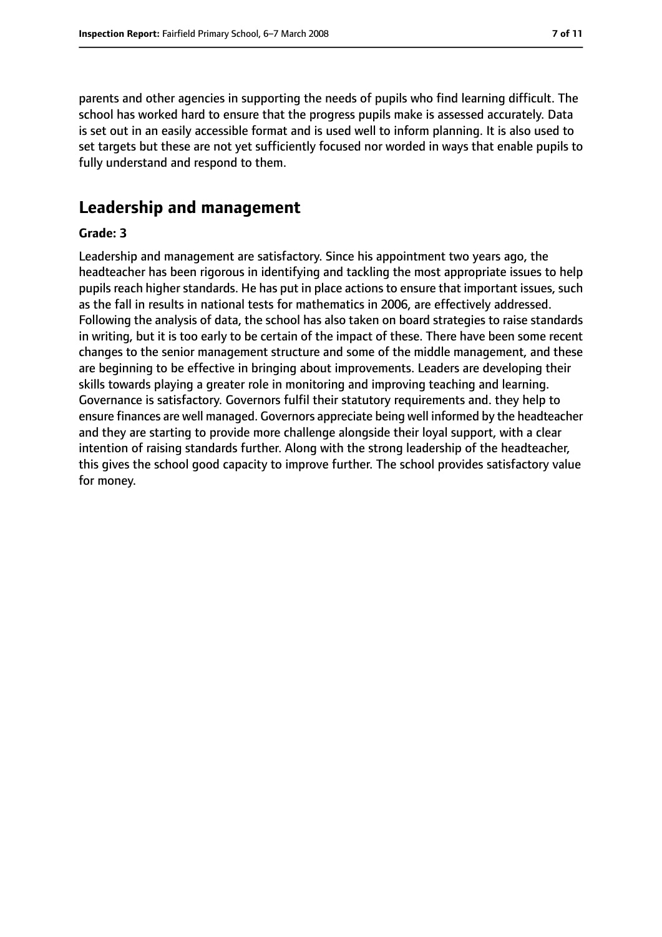parents and other agencies in supporting the needs of pupils who find learning difficult. The school has worked hard to ensure that the progress pupils make is assessed accurately. Data is set out in an easily accessible format and is used well to inform planning. It is also used to set targets but these are not yet sufficiently focused nor worded in ways that enable pupils to fully understand and respond to them.

# **Leadership and management**

#### **Grade: 3**

Leadership and management are satisfactory. Since his appointment two years ago, the headteacher has been rigorous in identifying and tackling the most appropriate issues to help pupils reach higher standards. He has put in place actions to ensure that important issues, such as the fall in results in national tests for mathematics in 2006, are effectively addressed. Following the analysis of data, the school has also taken on board strategies to raise standards in writing, but it is too early to be certain of the impact of these. There have been some recent changes to the senior management structure and some of the middle management, and these are beginning to be effective in bringing about improvements. Leaders are developing their skills towards playing a greater role in monitoring and improving teaching and learning. Governance is satisfactory. Governors fulfil their statutory requirements and. they help to ensure finances are well managed. Governors appreciate being well informed by the headteacher and they are starting to provide more challenge alongside their loyal support, with a clear intention of raising standards further. Along with the strong leadership of the headteacher, this gives the school good capacity to improve further. The school provides satisfactory value for money.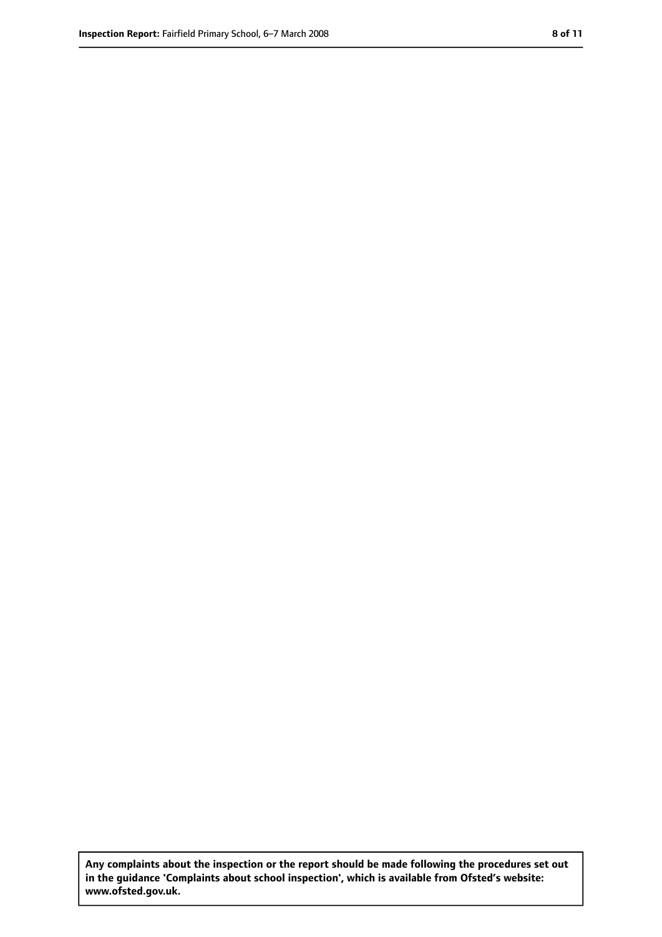**Any complaints about the inspection or the report should be made following the procedures set out in the guidance 'Complaints about school inspection', which is available from Ofsted's website: www.ofsted.gov.uk.**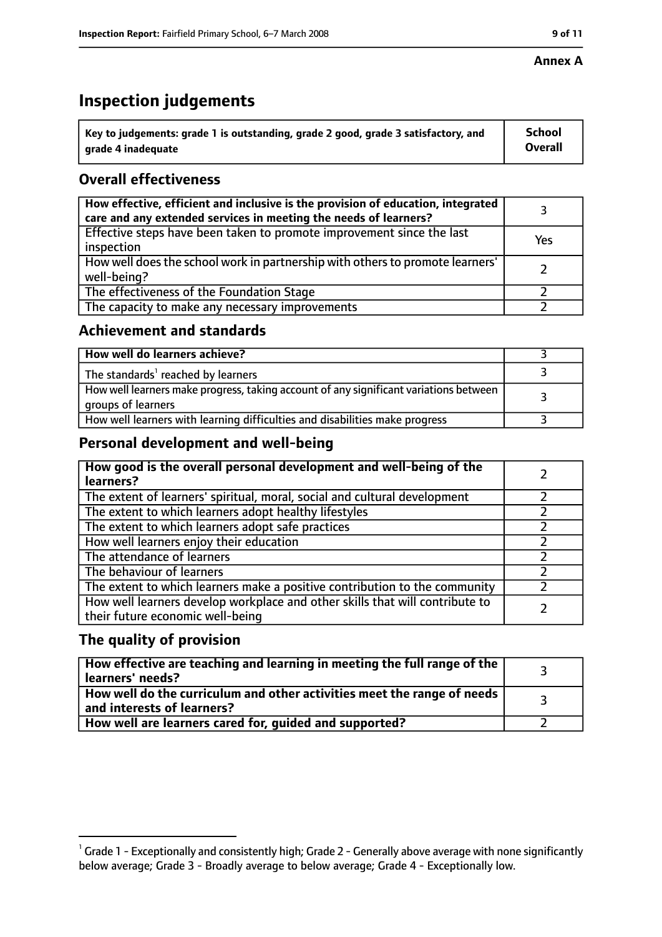#### **Annex A**

# **Inspection judgements**

| $\lq$ Key to judgements: grade 1 is outstanding, grade 2 good, grade 3 satisfactory, and | <b>School</b>  |
|------------------------------------------------------------------------------------------|----------------|
| arade 4 inadequate                                                                       | <b>Overall</b> |

# **Overall effectiveness**

| How effective, efficient and inclusive is the provision of education, integrated<br>care and any extended services in meeting the needs of learners? |     |
|------------------------------------------------------------------------------------------------------------------------------------------------------|-----|
| Effective steps have been taken to promote improvement since the last<br>inspection                                                                  | Yes |
| How well does the school work in partnership with others to promote learners'<br>well-being?                                                         |     |
| The effectiveness of the Foundation Stage                                                                                                            |     |
| The capacity to make any necessary improvements                                                                                                      |     |

## **Achievement and standards**

| How well do learners achieve?                                                                               |  |
|-------------------------------------------------------------------------------------------------------------|--|
| The standards <sup>1</sup> reached by learners                                                              |  |
| How well learners make progress, taking account of any significant variations between<br>groups of learners |  |
| How well learners with learning difficulties and disabilities make progress                                 |  |

## **Personal development and well-being**

| How good is the overall personal development and well-being of the<br>learners?                                  |  |
|------------------------------------------------------------------------------------------------------------------|--|
| The extent of learners' spiritual, moral, social and cultural development                                        |  |
| The extent to which learners adopt healthy lifestyles                                                            |  |
| The extent to which learners adopt safe practices                                                                |  |
| How well learners enjoy their education                                                                          |  |
| The attendance of learners                                                                                       |  |
| The behaviour of learners                                                                                        |  |
| The extent to which learners make a positive contribution to the community                                       |  |
| How well learners develop workplace and other skills that will contribute to<br>their future economic well-being |  |

## **The quality of provision**

| How effective are teaching and learning in meeting the full range of the<br>learners' needs?          |  |
|-------------------------------------------------------------------------------------------------------|--|
| How well do the curriculum and other activities meet the range of needs<br>and interests of learners? |  |
| How well are learners cared for, quided and supported?                                                |  |

 $^1$  Grade 1 - Exceptionally and consistently high; Grade 2 - Generally above average with none significantly below average; Grade 3 - Broadly average to below average; Grade 4 - Exceptionally low.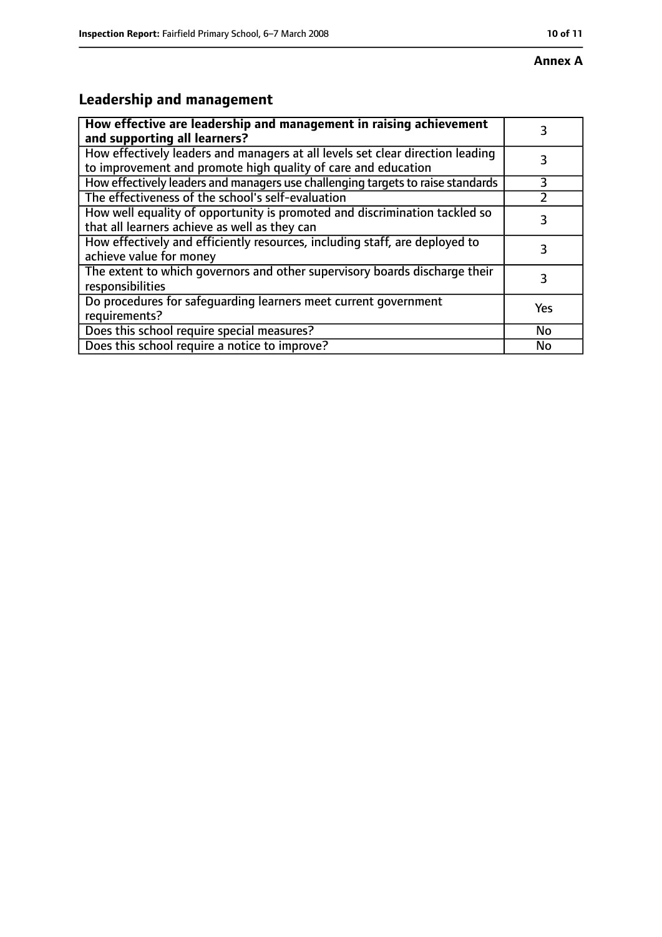# **Annex A**

# **Leadership and management**

| How effective are leadership and management in raising achievement<br>and supporting all learners?                                              |     |
|-------------------------------------------------------------------------------------------------------------------------------------------------|-----|
| How effectively leaders and managers at all levels set clear direction leading<br>to improvement and promote high quality of care and education |     |
| How effectively leaders and managers use challenging targets to raise standards                                                                 | 3   |
| The effectiveness of the school's self-evaluation                                                                                               |     |
| How well equality of opportunity is promoted and discrimination tackled so<br>that all learners achieve as well as they can                     | 3   |
| How effectively and efficiently resources, including staff, are deployed to<br>achieve value for money                                          | 3   |
| The extent to which governors and other supervisory boards discharge their<br>responsibilities                                                  | 3   |
| Do procedures for safequarding learners meet current government<br>requirements?                                                                | Yes |
| Does this school require special measures?                                                                                                      | No  |
| Does this school require a notice to improve?                                                                                                   | No  |